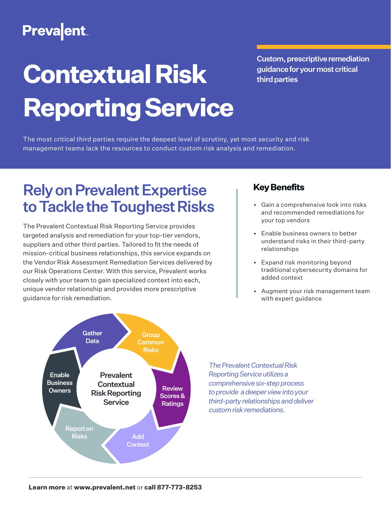# **Preva**ent

# **Contextual Risk Reporting Service**

Custom, prescriptive remediation guidance for your most critical third parties

The most critical third parties require the deepest level of scrutiny, yet most security and risk management teams lack the resources to conduct custom risk analysis and remediation.

## Rely on Prevalent Expertise to Tackle the Toughest Risks

The Prevalent Contextual Risk Reporting Service provides targeted analysis and remediation for your top-tier vendors, suppliers and other third parties. Tailored to fit the needs of mission-critical business relationships, this service expands on the Vendor Risk Assessment Remediation Services delivered by our Risk Operations Center. With this service, Prevalent works closely with your team to gain specialized context into each, unique vendor relationship and provides more prescriptive guidance for risk remediation.

## **Key Benefits**

- Gain a comprehensive look into risks and recommended remediations for your top vendors
- Enable business owners to better understand risks in their third-party relationships
- Expand risk monitoring beyond traditional cybersecurity domains for added context
- Augment your risk management team with expert guidance



*The Prevalent Contextual Risk Reporting Service utilizes a comprehensive six-step process to provide a deeper view into your third-party relationships and deliver custom risk remediations.*